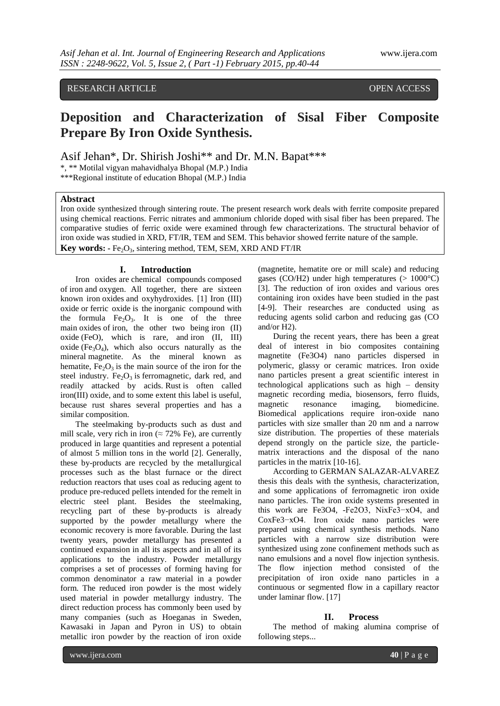# RESEARCH ARTICLE OPEN ACCESS

# **Deposition and Characterization of Sisal Fiber Composite Prepare By Iron Oxide Synthesis.**

Asif Jehan\*, Dr. Shirish Joshi\*\* and Dr. M.N. Bapat\*\*\*

\*, \*\* Motilal vigyan mahavidhalya Bhopal (M.P.) India

\*\*\*Regional institute of education Bhopal (M.P.) India

## **Abstract**

Iron oxide synthesized through sintering route. The present research work deals with ferrite composite prepared using chemical reactions. Ferric nitrates and ammonium chloride doped with sisal fiber has been prepared. The comparative studies of ferric oxide were examined through few characterizations. The structural behavior of iron oxide was studied in XRD, FT/IR, TEM and SEM. This behavior showed ferrite nature of the sample. **Key words: -** Fe<sub>2</sub>O<sub>3</sub>, sintering method, TEM, SEM, XRD AND FT/IR

#### **I. Introduction**

Iron oxides are chemical compounds composed of iron and oxygen. All together, there are sixteen known iron oxides and oxyhydroxides. [1] Iron (III) oxide or ferric oxide is the inorganic compound with the formula  $Fe<sub>2</sub>O<sub>3</sub>$ . It is one of the three main oxides of iron, the other two being iron (II) oxide (FeO), which is rare, and iron (II, III) oxide (Fe<sub>3</sub>O<sub>4</sub>), which also occurs naturally as the mineral magnetite. As the mineral known as hematite,  $Fe<sub>2</sub>O<sub>3</sub>$  is the main source of the iron for the steel industry. Fe<sub>2</sub>O<sub>3</sub> is ferromagnetic, dark red, and readily attacked by acids. Rust is often called iron(III) oxide, and to some extent this label is useful, because rust shares several properties and has a similar composition.

The steelmaking by-products such as dust and mill scale, very rich in iron ( $\approx$  72% Fe), are currently produced in large quantities and represent a potential of almost 5 million tons in the world [2]. Generally, these by-products are recycled by the metallurgical processes such as the blast furnace or the direct reduction reactors that uses coal as reducing agent to produce pre-reduced pellets intended for the remelt in electric steel plant. Besides the steelmaking, recycling part of these by-products is already supported by the powder metallurgy where the economic recovery is more favorable. During the last twenty years, powder metallurgy has presented a continued expansion in all its aspects and in all of its applications to the industry. Powder metallurgy comprises a set of processes of forming having for common denominator a raw material in a powder form. The reduced iron powder is the most widely used material in powder metallurgy industry. The direct reduction process has commonly been used by many companies (such as Hoeganas in Sweden, Kawasaki in Japan and Pyron in US) to obtain metallic iron powder by the reaction of iron oxide

(magnetite, hematite ore or mill scale) and reducing gases (CO/H2) under high temperatures  $(> 1000^{\circ}C)$ [3]. The reduction of iron oxides and various ores containing iron oxides have been studied in the past [4-9]. Their researches are conducted using as reducing agents solid carbon and reducing gas (CO and/or H2).

During the recent years, there has been a great deal of interest in bio composites containing magnetite (Fe3O4) nano particles dispersed in polymeric, glassy or ceramic matrices. Iron oxide nano particles present a great scientific interest in technological applications such as high – density magnetic recording media, biosensors, ferro fluids, magnetic resonance imaging, biomedicine. Biomedical applications require iron-oxide nano particles with size smaller than 20 nm and a narrow size distribution. The properties of these materials depend strongly on the particle size, the particlematrix interactions and the disposal of the nano particles in the matrix [10-16].

According to GERMAN SALAZAR-ALVAREZ thesis this deals with the synthesis, characterization, and some applications of ferromagnetic iron oxide nano particles. The iron oxide systems presented in this work are Fe3O4, -Fe2O3, NixFe3−xO4, and CoxFe3−xO4. Iron oxide nano particles were prepared using chemical synthesis methods. Nano particles with a narrow size distribution were synthesized using zone confinement methods such as nano emulsions and a novel flow injection synthesis. The flow injection method consisted of the precipitation of iron oxide nano particles in a continuous or segmented flow in a capillary reactor under laminar flow. [17]

#### **II. Process**

The method of making alumina comprise of following steps...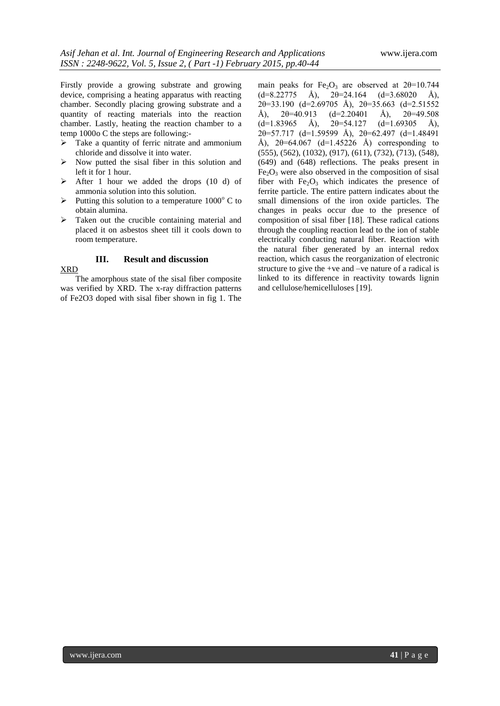Firstly provide a growing substrate and growing device, comprising a heating apparatus with reacting chamber. Secondly placing growing substrate and a quantity of reacting materials into the reaction chamber. Lastly, heating the reaction chamber to a temp 1000o C the steps are following:-

- $\triangleright$  Take a quantity of ferric nitrate and ammonium chloride and dissolve it into water.
- $\triangleright$  Now putted the sisal fiber in this solution and left it for 1 hour.
- $\triangleright$  After 1 hour we added the drops (10 d) of ammonia solution into this solution.
- $\triangleright$  Putting this solution to a temperature 1000 $^{\circ}$  C to obtain alumina.
- $\triangleright$  Taken out the crucible containing material and placed it on asbestos sheet till it cools down to room temperature.

### **III. Result and discussion**

#### XRD

The amorphous state of the sisal fiber composite was verified by XRD. The x-ray diffraction patterns of Fe2O3 doped with sisal fiber shown in fig 1. The main peaks for Fe<sub>2</sub>O<sub>3</sub> are observed at  $2\theta$ =10.744  $(d=8.22775 \text{ Å})$ ,  $2\theta=24.164$   $(d=3.68020 \text{ Å})$ , 2θ=33.190 (d=2.69705 Å), 2θ=35.663 (d=2.51552 Å),  $2\theta = 40.913$  (d=2.20401 Å),  $2\theta = 49.508$  $(d=1.83965 \text{ Å})$ ,  $2\theta = 54.127 \text{ } (d=1.69305 \text{ Å})$ ,  $2\theta = 57.717$  (d=1.59599 Å),  $2\theta = 62.497$  (d=1.48491) Å),  $2\theta = 64.067$  (d=1.45226 Å) corresponding to (555), (562), (1032), (917), (611), (732), (713), (548), (649) and (648) reflections. The peaks present in  $Fe<sub>2</sub>O<sub>3</sub>$  were also observed in the composition of sisal fiber with  $Fe<sub>2</sub>O<sub>3</sub>$  which indicates the presence of ferrite particle. The entire pattern indicates about the small dimensions of the iron oxide particles. The changes in peaks occur due to the presence of composition of sisal fiber [18]. These radical cations through the coupling reaction lead to the ion of stable electrically conducting natural fiber. Reaction with the natural fiber generated by an internal redox reaction, which casus the reorganization of electronic structure to give the +ve and –ve nature of a radical is linked to its difference in reactivity towards lignin and cellulose/hemicelluloses [19].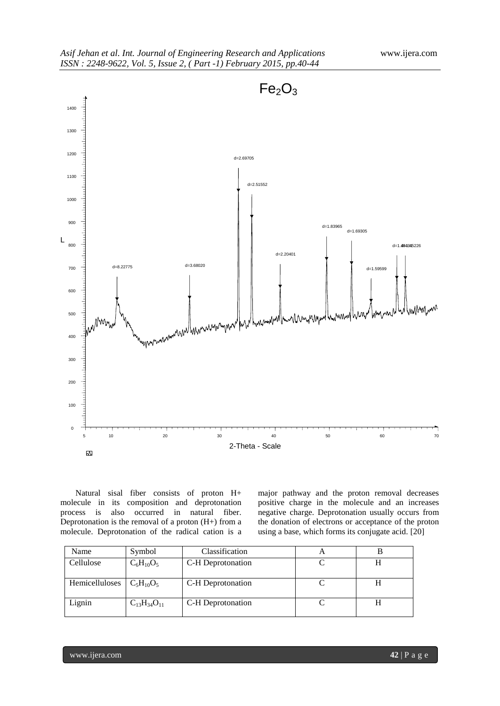

Natural sisal fiber consists of proton H+ molecule in its composition and deprotonation process is also occurred in natural fiber. Deprotonation is the removal of a proton  $(H+)$  from a molecule. Deprotonation of the radical cation is a major pathway and the proton removal decreases positive charge in the molecule and an increases negative charge. Deprotonation usually occurs from the donation of electrons or acceptance of the proton using a base, which forms its conjugate acid. [20]

| Name           | Symbol               | Classification    |  |
|----------------|----------------------|-------------------|--|
| Cellulose      | $C_6H_{10}O_5$       | C-H Deprotonation |  |
| Hemicelluloses | $C_5H_{10}O_5$       | C-H Deprotonation |  |
| Lignin         | $C_{13}H_{34}O_{11}$ | C-H Deprotonation |  |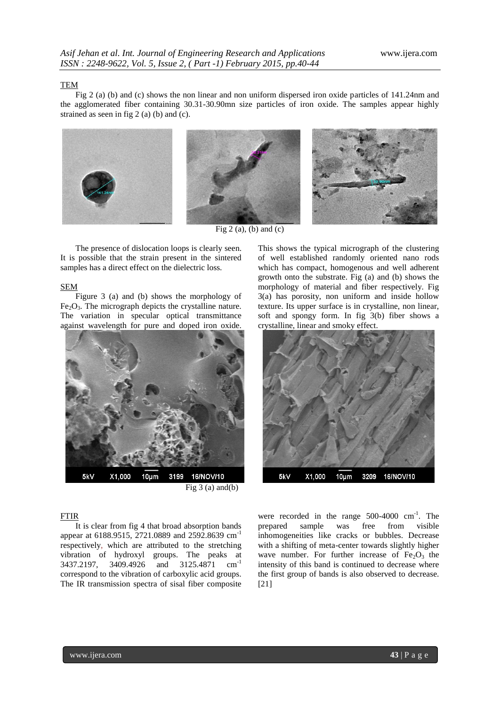#### TEM

Fig 2 (a) (b) and (c) shows the non linear and non uniform dispersed iron oxide particles of 141.24nm and the agglomerated fiber containing 30.31-30.90mn size particles of iron oxide. The samples appear highly strained as seen in fig 2 (a) (b) and (c).



Fig  $2(a)$ , (b) and (c)

The presence of dislocation loops is clearly seen. It is possible that the strain present in the sintered samples has a direct effect on the dielectric loss.

#### SEM

Figure 3 (a) and (b) shows the morphology of  $Fe<sub>2</sub>O<sub>3</sub>$ . The micrograph depicts the crystalline nature. The variation in specular optical transmittance against wavelength for pure and doped iron oxide.



#### FTIR

It is clear from fig 4 that broad absorption bands appear at 6188.9515, 2721.0889 and 2592.8639 cm-1 respectively, which are attributed to the stretching vibration of hydroxyl groups. The peaks at 3437.2197, 3409.4926 and 3125.4871 cm-1 correspond to the vibration of carboxylic acid groups. The IR transmission spectra of sisal fiber composite

This shows the typical micrograph of the clustering of well established randomly oriented nano rods which has compact, homogenous and well adherent growth onto the substrate. Fig (a) and (b) shows the morphology of material and fiber respectively. Fig 3(a) has porosity, non uniform and inside hollow texture. Its upper surface is in crystalline, non linear, soft and spongy form. In fig 3(b) fiber shows a crystalline, linear and smoky effect.



were recorded in the range  $500-4000$  cm<sup>-1</sup>. The prepared sample was free from visible inhomogeneities like cracks or bubbles. Decrease with a shifting of meta-center towards slightly higher wave number. For further increase of  $Fe<sub>2</sub>O<sub>3</sub>$  the intensity of this band is continued to decrease where the first group of bands is also observed to decrease. [21]